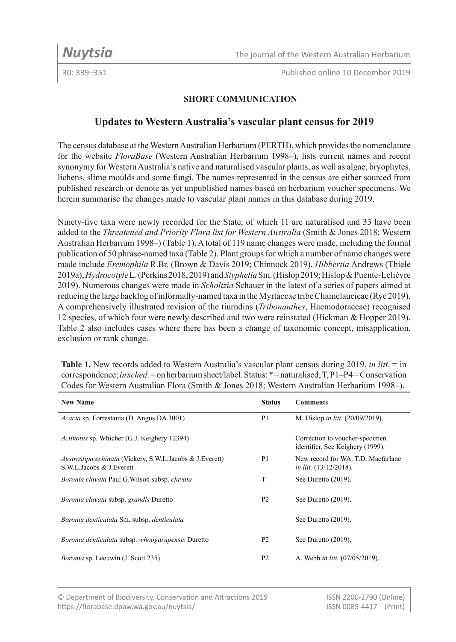30: 339–351 Published online 10 December 2019

# **SHORT COMMUNICATION**

# **Updates to Western Australia's vascular plant census for 2019**

The census database at the Western Australian Herbarium (PERTH), which provides the nomenclature for the website *FloraBase* (Western Australian Herbarium 1998–), lists current names and recent synonymy for Western Australia's native and naturalised vascular plants, as well as algae, bryophytes, lichens, slime moulds and some fungi. The names represented in the census are either sourced from published research or denote as yet unpublished names based on herbarium voucher specimens. We herein summarise the changes made to vascular plant names in this database during 2019.

Ninety-five taxa were newly recorded for the State, of which 11 are naturalised and 33 have been added to the *Threatened and Priority Flora list for Western Australia* (Smith & Jones 2018; Western Australian Herbarium 1998–) (Table 1). A total of 119 name changes were made, including the formal publication of 50 phrase-named taxa (Table 2). Plant groups for which a number of name changes were made include *Eremophila* R.Br. (Brown & Davis 2019; Chinnock 2019), *Hibbertia* Andrews (Thiele 2019a), *Hydrocotyle* L. (Perkins 2018, 2019) and *Styphelia* Sm. (Hislop 2019; Hislop & Puente-Lelièvre 2019). Numerous changes were made in *Scholtzia* Schauer in the latest of a series of papers aimed at reducing the large backlog of informally-named taxa in the Myrtaceae tribe Chamelaucieae (Rye 2019). A comprehensively illustrated revision of the tiurndins (*Tribonanthes*, Haemodoraceae) recognised 12 species, of which four were newly described and two were reinstated (Hickman & Hopper 2019). Table 2 also includes cases where there has been a change of taxonomic concept, misapplication, exclusion or rank change.

**Table 1.** New records added to Western Australia's vascular plant census during 2019. *in litt.* = in correspondence; *in sched.* = on herbarium sheet/label. Status: \* = naturalised; T, P1–P4 = Conservation Codes for Western Australian Flora (Smith & Jones 2018; Western Australian Herbarium 1998–).

| <b>New Name</b>                                                                             | <b>Status</b>  | <b>Comments</b>                                                     |
|---------------------------------------------------------------------------------------------|----------------|---------------------------------------------------------------------|
| <i>Acacia</i> sp. Forrestania (D. Angus DA 3001)                                            | P <sub>1</sub> | M. Hislop in litt. (20/09/2019).                                    |
| <i>Actinotus</i> sp. Whicher (G.J. Keighery 12394)                                          |                | Correction to voucher-specimen<br>identifier. See Keighery (1999).  |
| <i>Austrostipa echinata</i> (Vickery, S.W.L.Jacobs & J.Everett)<br>S.W.L.Jacobs & J.Everett | P <sub>1</sub> | New record for WA. T.D. Macfarlane<br><i>in litt.</i> (13/12/2018). |
| Boronia clavata Paul G. Wilson subsp. clavata                                               | T              | See Duretto (2019).                                                 |
| Boronia clavata subsp. grandis Duretto                                                      | <b>P2</b>      | See Duretto (2019).                                                 |
| Boronia denticulata Sm. subsp. denticulata                                                  |                | See Duretto (2019).                                                 |
| Boronia denticulata subsp. whoogarupensis Duretto                                           | P <sub>2</sub> | See Duretto (2019).                                                 |
| <i>Boronia</i> sp. Leeuwin (J. Scott 235)                                                   | P <sub>2</sub> | A. Webb in litt. (07/05/2019).                                      |

© Department of Biodiversity, Conservation and Attractions 2019 ISSN 2200-2790 (Online) https://florabase.dpaw.wa.gov.au/nuytsia/ ISSN 0085-4417 (Print)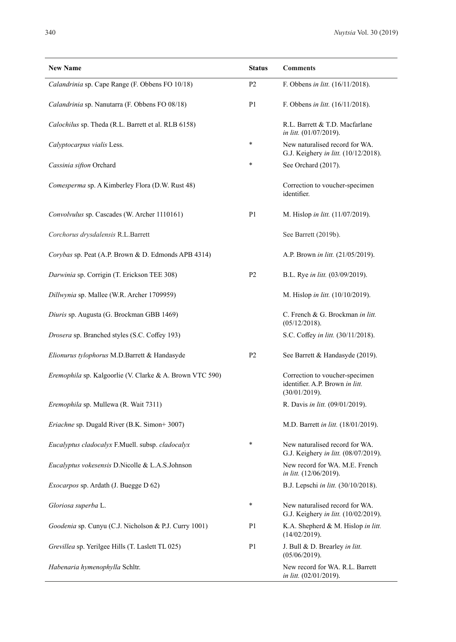| <b>New Name</b>                                          | <b>Status</b>  | <b>Comments</b>                                                                    |
|----------------------------------------------------------|----------------|------------------------------------------------------------------------------------|
| Calandrinia sp. Cape Range (F. Obbens FO 10/18)          | P <sub>2</sub> | F. Obbens in litt. (16/11/2018).                                                   |
| Calandrinia sp. Nanutarra (F. Obbens FO 08/18)           | P <sub>1</sub> | F. Obbens in litt. (16/11/2018).                                                   |
| Calochilus sp. Theda (R.L. Barrett et al. RLB 6158)      |                | R.L. Barrett & T.D. Macfarlane<br>in litt. (01/07/2019).                           |
| Calyptocarpus vialis Less.                               | $\ast$         | New naturalised record for WA.<br>G.J. Keighery in litt. (10/12/2018).             |
| Cassinia sifton Orchard                                  | $\ast$         | See Orchard (2017).                                                                |
| Comesperma sp. A Kimberley Flora (D.W. Rust 48)          |                | Correction to voucher-specimen<br>identifier.                                      |
| Convolvulus sp. Cascades (W. Archer 1110161)             | P1             | M. Hislop in litt. (11/07/2019).                                                   |
| Corchorus drysdalensis R.L.Barrett                       |                | See Barrett (2019b).                                                               |
| Corybas sp. Peat (A.P. Brown & D. Edmonds APB 4314)      |                | A.P. Brown in litt. (21/05/2019).                                                  |
| Darwinia sp. Corrigin (T. Erickson TEE 308)              | P <sub>2</sub> | B.L. Rye in litt. (03/09/2019).                                                    |
| Dillwynia sp. Mallee (W.R. Archer 1709959)               |                | M. Hislop in litt. (10/10/2019).                                                   |
| Diuris sp. Augusta (G. Brockman GBB 1469)                |                | C. French & G. Brockman in litt.<br>(05/12/2018).                                  |
| Drosera sp. Branched styles (S.C. Coffey 193)            |                | S.C. Coffey in litt. (30/11/2018).                                                 |
| Elionurus tylophorus M.D.Barrett & Handasyde             | P <sub>2</sub> | See Barrett & Handasyde (2019).                                                    |
| Eremophila sp. Kalgoorlie (V. Clarke & A. Brown VTC 590) |                | Correction to voucher-specimen<br>identifier. A.P. Brown in litt.<br>(30/01/2019). |
| Eremophila sp. Mullewa (R. Wait 7311)                    |                | R. Davis in litt. (09/01/2019).                                                    |
| <i>Eriachne</i> sp. Dugald River (B.K. Simon+3007)       |                | M.D. Barrett in litt. (18/01/2019).                                                |
| Eucalyptus cladocalyx F.Muell. subsp. cladocalyx         | $\ast$         | New naturalised record for WA.<br>G.J. Keighery in litt. (08/07/2019).             |
| Eucalyptus vokesensis D.Nicolle & L.A.S.Johnson          |                | New record for WA. M.E. French<br>in litt. (12/06/2019).                           |
| <i>Exocarpos</i> sp. Ardath (J. Buegge D 62)             |                | B.J. Lepschi in litt. (30/10/2018).                                                |
| Gloriosa superba L.                                      | $\ast$         | New naturalised record for WA.<br>G.J. Keighery in litt. (10/02/2019).             |
| Goodenia sp. Cunyu (C.J. Nicholson & P.J. Curry 1001)    | P1             | K.A. Shepherd & M. Hislop in litt.<br>(14/02/2019).                                |
| Grevillea sp. Yerilgee Hills (T. Laslett TL 025)         | P <sub>1</sub> | J. Bull & D. Brearley in litt.<br>(05/06/2019).                                    |
| Habenaria hymenophylla Schltr.                           |                | New record for WA. R.L. Barrett<br>in litt. (02/01/2019).                          |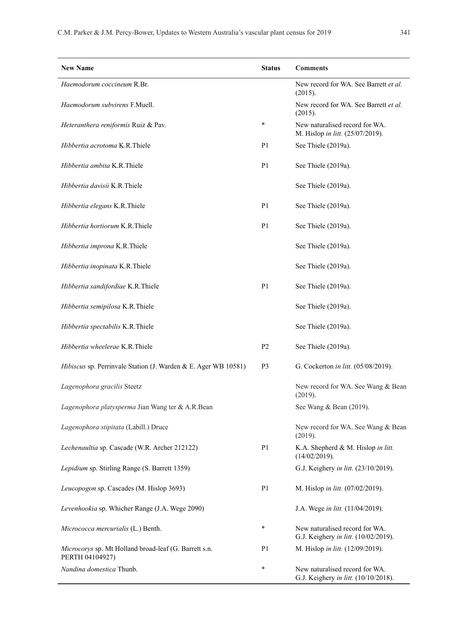| <b>New Name</b>                                                          | <b>Status</b>  | <b>Comments</b>                                                        |
|--------------------------------------------------------------------------|----------------|------------------------------------------------------------------------|
| Haemodorum coccineum R.Br.                                               |                | New record for WA. See Barrett et al.<br>(2015).                       |
| Haemodorum subvirens F.Muell.                                            |                | New record for WA. See Barrett et al.<br>(2015).                       |
| Heteranthera reniformis Ruiz & Pav.                                      | $\ast$         | New naturalised record for WA.<br>M. Hislop in litt. (25/07/2019).     |
| Hibbertia acrotoma K.R.Thiele                                            | P1             | See Thiele (2019a).                                                    |
| Hibbertia ambita K.R.Thiele                                              | P <sub>1</sub> | See Thiele (2019a).                                                    |
| Hibbertia davisii K.R.Thiele                                             |                | See Thiele (2019a).                                                    |
| Hibbertia elegans K.R.Thiele                                             | P <sub>1</sub> | See Thiele (2019a).                                                    |
| Hibbertia hortiorum K.R.Thiele                                           | P1             | See Thiele (2019a).                                                    |
| Hibbertia improna K.R.Thiele                                             |                | See Thiele (2019a).                                                    |
| Hibbertia inopinata K.R.Thiele                                           |                | See Thiele (2019a).                                                    |
| Hibbertia sandifordiae K.R.Thiele                                        | P <sub>1</sub> | See Thiele (2019a).                                                    |
| Hibbertia semipilosa K.R.Thiele                                          |                | See Thiele (2019a).                                                    |
| Hibbertia spectabilis K.R.Thiele                                         |                | See Thiele (2019a).                                                    |
| Hibbertia wheelerae K.R.Thiele                                           | P <sub>2</sub> | See Thiele (2019a).                                                    |
| Hibiscus sp. Perrinvale Station (J. Warden & E. Ager WB 10581)           | P3             | G. Cockerton in litt. (05/08/2019).                                    |
| Lagenophora gracilis Steetz                                              |                | New record for WA. See Wang & Bean<br>(2019).                          |
| Lagenophora platysperma Jian Wang ter & A.R.Bean                         |                | See Wang & Bean (2019).                                                |
| Lagenophora stipitata (Labill.) Druce                                    |                | New record for WA. See Wang & Bean<br>(2019).                          |
| Lechenaultia sp. Cascade (W.R. Archer 212122)                            | P1             | K.A. Shepherd & M. Hislop in litt.<br>(14/02/2019).                    |
| Lepidium sp. Stirling Range (S. Barrett 1359)                            |                | G.J. Keighery in litt. (23/10/2019).                                   |
| Leucopogon sp. Cascades (M. Hislop 3693)                                 | P <sub>1</sub> | M. Hislop in litt. (07/02/2019).                                       |
| Levenhookia sp. Whicher Range (J.A. Wege 2090)                           |                | J.A. Wege in litt. (11/04/2019).                                       |
| Micrococca mercurialis (L.) Benth.                                       | *              | New naturalised record for WA.<br>G.J. Keighery in litt. (10/02/2019). |
| Microcorys sp. Mt Holland broad-leaf (G. Barrett s.n.<br>PERTH 04104927) | P1             | M. Hislop in litt. (12/09/2019).                                       |
| Nandina domestica Thunb.                                                 | ∗              | New naturalised record for WA.<br>G.J. Keighery in litt. (10/10/2018). |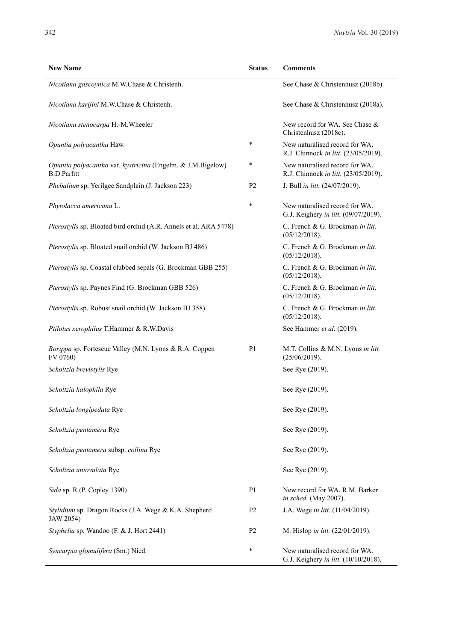| <b>New Name</b>                                                                   | <b>Status</b>  | <b>Comments</b>                                                        |
|-----------------------------------------------------------------------------------|----------------|------------------------------------------------------------------------|
| Nicotiana gascoynica M.W.Chase & Christenh.                                       |                | See Chase & Christenhusz (2018b).                                      |
| Nicotiana karijini M.W.Chase & Christenh.                                         |                | See Chase & Christenhusz (2018a).                                      |
| Nicotiana stenocarpa H.-M.Wheeler                                                 |                | New record for WA. See Chase &<br>Christenhusz (2018c).                |
| Opuntia polyacantha Haw.                                                          | $\ast$         | New naturalised record for WA.<br>R.J. Chinnock in litt. (23/05/2019). |
| Opuntia polyacantha var. hystricina (Engelm. & J.M.Bigelow)<br><b>B.D.Parfitt</b> | $\ast$         | New naturalised record for WA.<br>R.J. Chinnock in litt. (23/05/2019). |
| Phebalium sp. Yerilgee Sandplain (J. Jackson 223)                                 | P <sub>2</sub> | J. Bull in litt. (24/07/2019).                                         |
| Phytolacca americana L.                                                           | *              | New naturalised record for WA.<br>G.J. Keighery in litt. (09/07/2019). |
| Pterostylis sp. Bloated bird orchid (A.R. Annels et al. ARA 5478)                 |                | C. French & G. Brockman in litt.<br>(05/12/2018).                      |
| Pterostylis sp. Bloated snail orchid (W. Jackson BJ 486)                          |                | C. French & G. Brockman in litt.<br>(05/12/2018).                      |
| Pterostylis sp. Coastal clubbed sepals (G. Brockman GBB 255)                      |                | C. French & G. Brockman in litt.<br>(05/12/2018).                      |
| Pterostylis sp. Paynes Find (G. Brockman GBB 526)                                 |                | C. French & G. Brockman in litt.<br>(05/12/2018).                      |
| Pterostylis sp. Robust snail orchid (W. Jackson BJ 358)                           |                | C. French & G. Brockman in litt.<br>(05/12/2018).                      |
| Ptilotus xerophilus T.Hammer & R.W.Davis                                          |                | See Hammer et al. (2019).                                              |
| Rorippa sp. Fortescue Valley (M.N. Lyons & R.A. Coppen<br>FV 0760)                | P <sub>1</sub> | M.T. Collins & M.N. Lyons in litt.<br>(25/06/2019).                    |
| <i>Scholtzia brevistylis</i> Rye                                                  |                | See Rye (2019).                                                        |
| <i>Scholtzia halophila</i> Rye                                                    |                | See Rye (2019).                                                        |
| <i>Scholtzia longipedata</i> Rye                                                  |                | See Rye (2019).                                                        |
| Scholtzia pentamera Rye                                                           |                | See Rye (2019).                                                        |
| <i>Scholtzia pentamera subsp. collina Rye</i>                                     |                | See Rye (2019).                                                        |
| <i>Scholtzia uniovulata</i> Rye                                                   |                | See Rye (2019).                                                        |
| Sida sp. R (P. Copley 1390)                                                       | P <sub>1</sub> | New record for WA. R.M. Barker<br>in sched. (May 2007).                |
| Stylidium sp. Dragon Rocks (J.A. Wege & K.A. Shepherd<br>JAW 2054)                | P <sub>2</sub> | J.A. Wege in litt. (11/04/2019).                                       |
| Styphelia sp. Wandoo (F. & J. Hort 2441)                                          | P <sub>2</sub> | M. Hislop in litt. (22/01/2019).                                       |
| Syncarpia glomulifera (Sm.) Nied.                                                 | ∗              | New naturalised record for WA.<br>G.J. Keighery in litt. (10/10/2018). |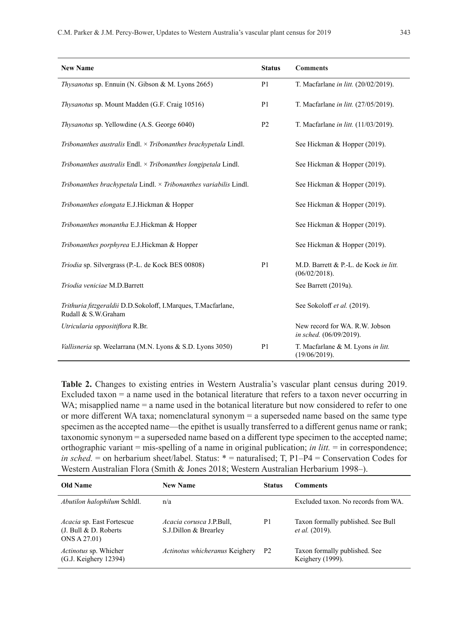| <b>New Name</b>                                                                      | <b>Status</b>  | <b>Comments</b>                                           |
|--------------------------------------------------------------------------------------|----------------|-----------------------------------------------------------|
| Thysanotus sp. Ennuin (N. Gibson & M. Lyons 2665)                                    | P <sub>1</sub> | T. Macfarlane in litt. (20/02/2019).                      |
| Thysanotus sp. Mount Madden (G.F. Craig 10516)                                       | P <sub>1</sub> | T. Macfarlane in litt. (27/05/2019).                      |
| Thysanotus sp. Yellowdine (A.S. George 6040)                                         | P <sub>2</sub> | T. Macfarlane in litt. (11/03/2019).                      |
| Tribonanthes australis Endl. $\times$ Tribonanthes brachypetala Lindl.               |                | See Hickman & Hopper (2019).                              |
| Tribonanthes australis Endl. $\times$ Tribonanthes longipetala Lindl.                |                | See Hickman & Hopper (2019).                              |
| Tribonanthes brachypetala Lindl. $\times$ Tribonanthes variabilis Lindl.             |                | See Hickman & Hopper (2019).                              |
| Tribonanthes elongata E.J.Hickman & Hopper                                           |                | See Hickman & Hopper (2019).                              |
| Tribonanthes monantha E.J.Hickman & Hopper                                           |                | See Hickman & Hopper (2019).                              |
| Tribonanthes porphyrea E.J.Hickman & Hopper                                          |                | See Hickman & Hopper (2019).                              |
| Triodia sp. Silvergrass (P.-L. de Kock BES 00808)                                    | P1             | M.D. Barrett & P.-L. de Kock in litt.<br>(06/02/2018).    |
| Triodia veniciae M.D.Barrett                                                         |                | See Barrett (2019a).                                      |
| Trithuria fitzgeraldii D.D.Sokoloff, I.Marques, T.Macfarlane,<br>Rudall & S.W.Graham |                | See Sokoloff et al. (2019).                               |
| Utricularia oppositiflora R.Br.                                                      |                | New record for WA. R.W. Jobson<br>in sched. (06/09/2019). |
| Vallisneria sp. Weelarrana (M.N. Lyons & S.D. Lyons 3050)                            | P <sub>1</sub> | T. Macfarlane & M. Lyons in litt.<br>(19/06/2019).        |

**Table 2.** Changes to existing entries in Western Australia's vascular plant census during 2019. Excluded taxon = a name used in the botanical literature that refers to a taxon never occurring in WA; misapplied name = a name used in the botanical literature but now considered to refer to one or more different WA taxa; nomenclatural synonym = a superseded name based on the same type specimen as the accepted name—the epithet is usually transferred to a different genus name or rank; taxonomic synonym = a superseded name based on a different type specimen to the accepted name; orthographic variant = mis-spelling of a name in original publication; *in litt.* = in correspondence; *in sched.* = on herbarium sheet/label. Status: \* = naturalised; T, P1–P4 = Conservation Codes for Western Australian Flora (Smith & Jones 2018; Western Australian Herbarium 1998–).

| Old Name                                                            | <b>New Name</b>                                          | <b>Status</b>  | <b>Comments</b>                                             |
|---------------------------------------------------------------------|----------------------------------------------------------|----------------|-------------------------------------------------------------|
| Abutilon halophilum Schldl.                                         | n/a                                                      |                | Excluded taxon. No records from WA.                         |
| Acacia sp. East Fortescue<br>(J. Bull & D. Roberts)<br>ONS A 27.01) | <i>Acacia corusca J.P.Bull.</i><br>S.J.Dillon & Brearley | P1             | Taxon formally published. See Bull<br><i>et al.</i> (2019). |
| <i>Actinotus</i> sp. Whicher<br>(G.J. Keighery 12394)               | Actinotus whicheranus Keighery                           | P <sub>2</sub> | Taxon formally published. See<br>Keighery (1999).           |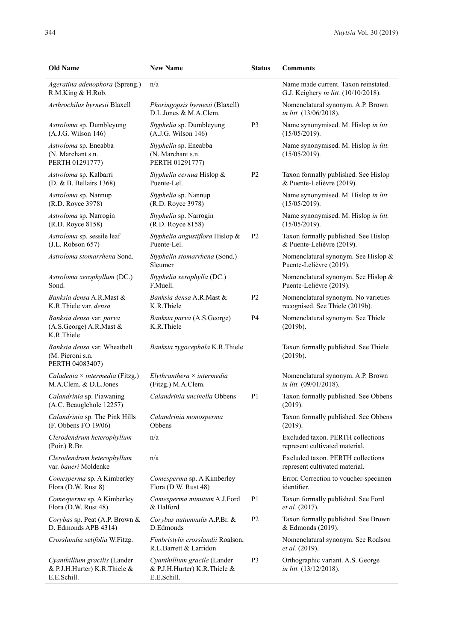| <b>Old Name</b>                                                              | <b>New Name</b>                                                             | <b>Status</b>  | <b>Comments</b>                                                              |
|------------------------------------------------------------------------------|-----------------------------------------------------------------------------|----------------|------------------------------------------------------------------------------|
| Ageratina adenophora (Spreng.)<br>R.M.King & H.Rob.                          | n/a                                                                         |                | Name made current. Taxon reinstated.<br>G.J. Keighery in litt. (10/10/2018). |
| Arthrochilus byrnesii Blaxell                                                | <i>Phoringopsis byrnesii</i> (Blaxell)<br>D.L.Jones & M.A.Clem.             |                | Nomenclatural synonym. A.P. Brown<br>in litt. (13/06/2018).                  |
| Astroloma sp. Dumbleyung                                                     | Styphelia sp. Dumbleyung                                                    | P3             | Name synonymised. M. Hislop in litt.                                         |
| (A.J.G. Wilson 146)                                                          | (A.J.G. Wilson 146)                                                         |                | (15/05/2019).                                                                |
| Astroloma sp. Eneabba<br>(N. Marchant s.n.<br>PERTH 01291777)                | Styphelia sp. Eneabba<br>(N. Marchant s.n.<br>PERTH 01291777)               |                | Name synonymised. M. Hislop in litt.<br>(15/05/2019).                        |
| Astroloma sp. Kalbarri                                                       | Styphelia cernua Hislop &                                                   | P <sub>2</sub> | Taxon formally published. See Hislop                                         |
| (D. & B. Bellairs 1368)                                                      | Puente-Lel.                                                                 |                | & Puente-Lelièvre (2019).                                                    |
| Astroloma sp. Nannup                                                         | Styphelia sp. Nannup                                                        |                | Name synonymised. M. Hislop in litt.                                         |
| (R.D. Royce 3978)                                                            | (R.D. Royce 3978)                                                           |                | (15/05/2019).                                                                |
| Astroloma sp. Narrogin                                                       | Styphelia sp. Narrogin                                                      |                | Name synonymised. M. Hislop in litt.                                         |
| (R.D. Royce 8158)                                                            | (R.D. Royce 8158)                                                           |                | (15/05/2019).                                                                |
| Astroloma sp. sessile leaf                                                   | Styphelia angustiflora Hislop &                                             | P <sub>2</sub> | Taxon formally published. See Hislop                                         |
| (J.L. Robson 657)                                                            | Puente-Lel.                                                                 |                | & Puente-Lelièvre (2019).                                                    |
| Astroloma stomarrhena Sond.                                                  | Styphelia stomarrhena (Sond.)<br>Sleumer                                    |                | Nomenclatural synonym. See Hislop &<br>Puente-Lelièvre (2019).               |
| Astroloma xerophyllum (DC.)                                                  | Styphelia xerophylla (DC.)                                                  |                | Nomenclatural synonym. See Hislop &                                          |
| Sond.                                                                        | F.Muell.                                                                    |                | Puente-Lelièvre (2019).                                                      |
| Banksia densa A.R.Mast &                                                     | Banksia densa A.R.Mast &                                                    | P <sub>2</sub> | Nomenclatural synonym. No varieties                                          |
| K.R.Thiele var. densa                                                        | K.R.Thiele                                                                  |                | recognised. See Thiele (2019b).                                              |
| Banksia densa var. parva<br>(A.S.George) A.R.Mast &<br>K.R.Thiele            | Banksia parva (A.S.George)<br>K.R.Thiele                                    | P <sub>4</sub> | Nomenclatural synonym. See Thiele<br>(2019b).                                |
| Banksia densa var. Wheatbelt<br>(M. Pieroni s.n.<br>PERTH 04083407)          | <i>Banksia zygocephala</i> K.R.Thiele                                       |                | Taxon formally published. See Thiele<br>(2019b).                             |
| Caladenia $\times$ intermedia (Fitzg.)                                       | $Elythranthera \times intermediate$                                         |                | Nomenclatural synonym. A.P. Brown                                            |
| M.A.Clem. & D.L.Jones                                                        | (Fitzg.) M.A.Clem.                                                          |                | <i>in litt.</i> (09/01/2018).                                                |
| Calandrinia sp. Piawaning<br>(A.C. Beauglehole 12257)                        | Calandrinia uncinella Obbens                                                | P <sub>1</sub> | Taxon formally published. See Obbens<br>(2019).                              |
| Calandrinia sp. The Pink Hills                                               | Calandrinia monosperma                                                      |                | Taxon formally published. See Obbens                                         |
| (F. Obbens FO 19/06)                                                         | Obbens                                                                      |                | (2019).                                                                      |
| Clerodendrum heterophyllum<br>(Poir.) R.Br.                                  | n/a                                                                         |                | Excluded taxon. PERTH collections<br>represent cultivated material.          |
| Clerodendrum heterophyllum<br>var. baueri Moldenke                           | n/a                                                                         |                | Excluded taxon. PERTH collections<br>represent cultivated material.          |
| Comesperma sp. A Kimberley                                                   | Comesperma sp. A Kimberley                                                  |                | Error. Correction to voucher-specimen                                        |
| Flora (D.W. Rust 8)                                                          | Flora (D.W. Rust 48)                                                        |                | identifier.                                                                  |
| Comesperma sp. A Kimberley                                                   | Comesperma minutum A.J.Ford                                                 | P <sub>1</sub> | Taxon formally published. See Ford                                           |
| Flora (D.W. Rust 48)                                                         | & Halford                                                                   |                | et al. (2017).                                                               |
| Corybas sp. Peat (A.P. Brown &                                               | Corybas autumnalis A.P.Br. &                                                | P <sub>2</sub> | Taxon formally published. See Brown                                          |
| D. Edmonds APB 4314)                                                         | D.Edmonds                                                                   |                | & Edmonds (2019).                                                            |
| Crosslandia setifolia W.Fitzg.                                               | Fimbristylis crosslandii Roalson,<br>R.L.Barrett & Larridon                 |                | Nomenclatural synonym. See Roalson<br><i>et al.</i> (2019).                  |
| Cyanthillium gracilis (Lander<br>& P.J.H.Hurter) K.R.Thiele &<br>E.E.Schill. | Cyanthillium gracile (Lander<br>& P.J.H.Hurter) K.R.Thiele &<br>E.E.Schill. | P <sub>3</sub> | Orthographic variant. A.S. George<br>in litt. (13/12/2018).                  |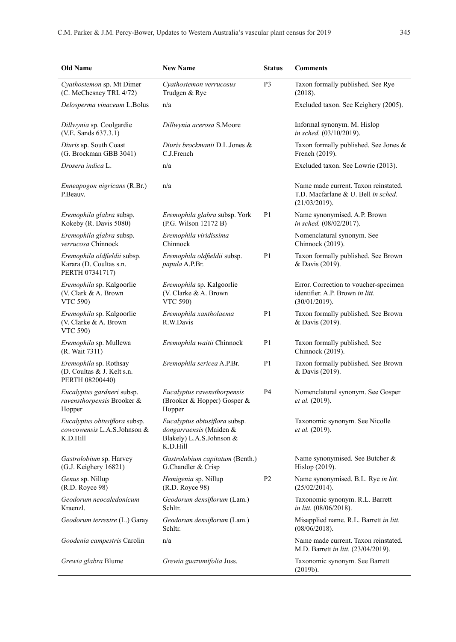| Old Name                                                                       | <b>New Name</b>                                                                                  | <b>Status</b>  | <b>Comments</b>                                                                              |
|--------------------------------------------------------------------------------|--------------------------------------------------------------------------------------------------|----------------|----------------------------------------------------------------------------------------------|
| Cyathostemon sp. Mt Dimer<br>(C. McChesney TRL 4/72)                           | Cyathostemon verrucosus<br>Trudgen & Rye                                                         | P <sub>3</sub> | Taxon formally published. See Rye<br>(2018).                                                 |
| Delosperma vinaceum L.Bolus                                                    | n/a                                                                                              |                | Excluded taxon. See Keighery (2005).                                                         |
| Dillwynia sp. Coolgardie<br>(V.E. Sands 637.3.1)                               | Dillwynia acerosa S.Moore                                                                        |                | Informal synonym. M. Hislop<br>in sched. (03/10/2019).                                       |
| Diuris sp. South Coast<br>(G. Brockman GBB 3041)                               | Diuris brockmanii D.L.Jones &<br>C.J.French                                                      |                | Taxon formally published. See Jones &<br>French (2019).                                      |
| Drosera indica L.                                                              | n/a                                                                                              |                | Excluded taxon. See Lowrie (2013).                                                           |
| <i>Enneapogon nigricans</i> (R.Br.)<br>P.Beauv.                                | n/a                                                                                              |                | Name made current. Taxon reinstated.<br>T.D. Macfarlane & U. Bell in sched.<br>(21/03/2019). |
| Eremophila glabra subsp.<br>Kokeby (R. Davis 5080)                             | Eremophila glabra subsp. York<br>(P.G. Wilson 12172 B)                                           | P <sub>1</sub> | Name synonymised. A.P. Brown<br>in sched. (08/02/2017).                                      |
| Eremophila glabra subsp.<br>verrucosa Chinnock                                 | Eremophila viridissima<br>Chinnock                                                               |                | Nomenclatural synonym. See<br>Chinnock (2019).                                               |
| Eremophila oldfieldii subsp.<br>Karara (D. Coultas s.n.<br>PERTH 07341717)     | Eremophila oldfieldii subsp.<br>papula A.P.Br.                                                   | P <sub>1</sub> | Taxon formally published. See Brown<br>& Davis (2019).                                       |
| Eremophila sp. Kalgoorlie<br>(V. Clark & A. Brown<br>VTC 590)                  | Eremophila sp. Kalgoorlie<br>(V. Clarke & A. Brown<br>VTC 590)                                   |                | Error. Correction to voucher-specimen<br>identifier. A.P. Brown in litt.<br>(30/01/2019).    |
| <i>Eremophila</i> sp. Kalgoorlie<br>(V. Clarke & A. Brown<br><b>VTC 590)</b>   | Eremophila xantholaema<br>R.W.Davis                                                              | P <sub>1</sub> | Taxon formally published. See Brown<br>& Davis (2019).                                       |
| Eremophila sp. Mullewa<br>(R. Wait 7311)                                       | Eremophila waitii Chinnock                                                                       | P <sub>1</sub> | Taxon formally published. See<br>Chinnock (2019).                                            |
| <i>Eremophila</i> sp. Rothsay<br>(D. Coultas & J. Kelt s.n.<br>PERTH 08200440) | Eremophila sericea A.P.Br.                                                                       | P <sub>1</sub> | Taxon formally published. See Brown<br>& Davis (2019).                                       |
| Eucalyptus gardneri subsp.<br>ravensthorpensis Brooker &<br>Hopper             | Eucalyptus ravensthorpensis<br>(Brooker & Hopper) Gosper &<br>Hopper                             | P4             | Nomenclatural synonym. See Gosper<br>et al. (2019).                                          |
| Eucalyptus obtusiflora subsp.<br>cowcowensis L.A.S.Johnson &<br>K.D.Hill       | Eucalyptus obtusiflora subsp.<br>dongarraensis (Maiden &<br>Blakely) L.A.S.Johnson &<br>K.D.Hill |                | Taxonomic synonym. See Nicolle<br>et al. (2019).                                             |
| Gastrolobium sp. Harvey<br>(G.J. Keighery 16821)                               | Gastrolobium capitatum (Benth.)<br>G.Chandler & Crisp                                            |                | Name synonymised. See Butcher &<br>Hislop (2019).                                            |
| Genus sp. Nillup<br>(R.D. Royce 98)                                            | Hemigenia sp. Nillup<br>(R.D. Royce 98)                                                          | P <sub>2</sub> | Name synonymised. B.L. Rye in litt.<br>(25/02/2014).                                         |
| Geodorum neocaledonicum<br>Kraenzl.                                            | Geodorum densiflorum (Lam.)<br>Schltr.                                                           |                | Taxonomic synonym. R.L. Barrett<br>in litt. (08/06/2018).                                    |
| Geodorum terrestre (L.) Garay                                                  | Geodorum densiflorum (Lam.)<br>Schltr.                                                           |                | Misapplied name. R.L. Barrett in litt.<br>(08/06/2018).                                      |
| Goodenia campestris Carolin                                                    | n/a                                                                                              |                | Name made current. Taxon reinstated.<br>M.D. Barrett in litt. (23/04/2019).                  |
| Grewia glabra Blume                                                            | Grewia guazumifolia Juss.                                                                        |                | Taxonomic synonym. See Barrett<br>(2019b).                                                   |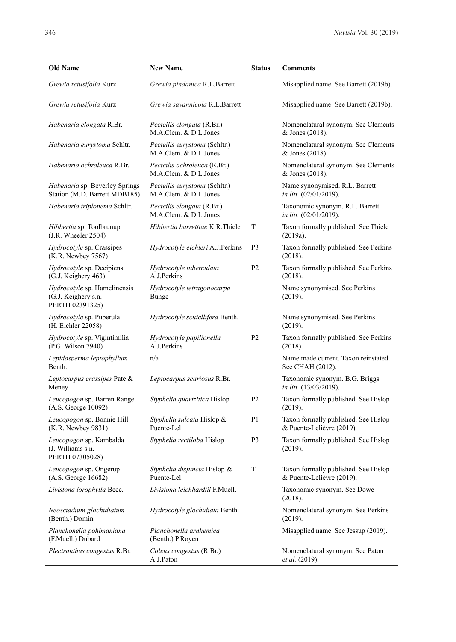| <b>Old Name</b>                                                        | <b>New Name</b>                                        | <b>Status</b>  | <b>Comments</b>                                                   |
|------------------------------------------------------------------------|--------------------------------------------------------|----------------|-------------------------------------------------------------------|
| Grewia retusifolia Kurz                                                | Grewia pindanica R.L.Barrett                           |                | Misapplied name. See Barrett (2019b).                             |
| Grewia retusifolia Kurz                                                | Grewia savannicola R.L.Barrett                         |                | Misapplied name. See Barrett (2019b).                             |
| Habenaria elongata R.Br.                                               | Pecteilis elongata (R.Br.)<br>M.A.Clem. & D.L.Jones    |                | Nomenclatural synonym. See Clements<br>& Jones (2018).            |
| Habenaria eurystoma Schltr.                                            | Pecteilis eurystoma (Schltr.)<br>M.A.Clem. & D.L.Jones |                | Nomenclatural synonym. See Clements<br>& Jones (2018).            |
| Habenaria ochroleuca R.Br.                                             | Pecteilis ochroleuca (R.Br.)<br>M.A.Clem. & D.L.Jones  |                | Nomenclatural synonym. See Clements<br>& Jones (2018).            |
| <i>Habenaria</i> sp. Beverley Springs<br>Station (M.D. Barrett MDB185) | Pecteilis eurystoma (Schltr.)<br>M.A.Clem. & D.L.Jones |                | Name synonymised. R.L. Barrett<br><i>in litt.</i> (02/01/2019).   |
| Habenaria triplonema Schltr.                                           | Pecteilis elongata (R.Br.)<br>M.A.Clem. & D.L.Jones    |                | Taxonomic synonym. R.L. Barrett<br><i>in litt.</i> (02/01/2019).  |
| Hibbertia sp. Toolbrunup<br>$(J.R.$ Wheeler $2504)$                    | Hibbertia barrettiae K.R.Thiele                        | T              | Taxon formally published. See Thiele<br>(2019a).                  |
| Hydrocotyle sp. Crassipes<br>(K.R. Newbey 7567)                        | Hydrocotyle eichleri A.J.Perkins                       | P3             | Taxon formally published. See Perkins<br>(2018).                  |
| Hydrocotyle sp. Decipiens<br>(G.J. Keighery 463)                       | Hydrocotyle tuberculata<br>A.J.Perkins                 | P <sub>2</sub> | Taxon formally published. See Perkins<br>(2018).                  |
| Hydrocotyle sp. Hamelinensis<br>(G.J. Keighery s.n.<br>PERTH 02391325) | Hydrocotyle tetragonocarpa<br>Bunge                    |                | Name synonymised. See Perkins<br>(2019).                          |
| Hydrocotyle sp. Puberula<br>(H. Eichler 22058)                         | Hydrocotyle scutellifera Benth.                        |                | Name synonymised. See Perkins<br>(2019).                          |
| Hydrocotyle sp. Vigintimilia<br>(P.G. Wilson 7940)                     | Hydrocotyle papilionella<br>A.J.Perkins                | P <sub>2</sub> | Taxon formally published. See Perkins<br>(2018).                  |
| Lepidosperma leptophyllum<br>Benth.                                    | n/a                                                    |                | Name made current. Taxon reinstated.<br>See CHAH (2012).          |
| Leptocarpus crassipes Pate &<br>Meney                                  | Leptocarpus scariosus R.Br.                            |                | Taxonomic synonym. B.G. Briggs<br>in litt. (13/03/2019).          |
| Leucopogon sp. Barren Range<br>(A.S. George 10092)                     | Styphelia quartzitica Hislop                           | P <sub>2</sub> | Taxon formally published. See Hislop<br>(2019).                   |
| Leucopogon sp. Bonnie Hill<br>(K.R. Newbey 9831)                       | Styphelia sulcata Hislop &<br>Puente-Lel.              | P1             | Taxon formally published. See Hislop<br>& Puente-Lelièvre (2019). |
| Leucopogon sp. Kambalda<br>(J. Williams s.n.<br>PERTH 07305028)        | Styphelia rectiloba Hislop                             | P <sub>3</sub> | Taxon formally published. See Hislop<br>(2019).                   |
| Leucopogon sp. Ongerup<br>(A.S. George 16682)                          | Styphelia disjuncta Hislop &<br>Puente-Lel.            | T              | Taxon formally published. See Hislop<br>& Puente-Lelièvre (2019). |
| Livistona lorophylla Becc.                                             | Livistona leichhardtii F.Muell.                        |                | Taxonomic synonym. See Dowe<br>(2018).                            |
| Neosciadium glochidiatum<br>(Benth.) Domin                             | <i>Hydrocotyle glochidiata</i> Benth.                  |                | Nomenclatural synonym. See Perkins<br>(2019).                     |
| Planchonella pohlmaniana<br>(F.Muell.) Dubard                          | Planchonella arnhemica<br>(Benth.) P.Royen             |                | Misapplied name. See Jessup (2019).                               |
| <i>Plectranthus congestus R.Br.</i>                                    | Coleus congestus (R.Br.)<br>A.J.Paton                  |                | Nomenclatural synonym. See Paton<br>et al. (2019).                |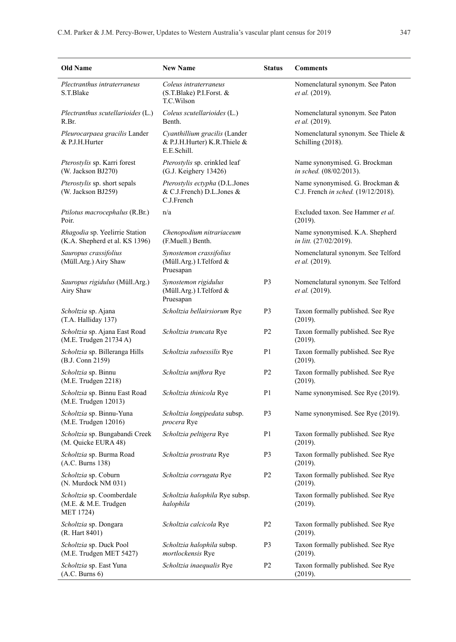| <b>Old Name</b>                                                       | <b>New Name</b>                                                              | <b>Status</b>  | <b>Comments</b>                                                        |
|-----------------------------------------------------------------------|------------------------------------------------------------------------------|----------------|------------------------------------------------------------------------|
| Plectranthus intraterraneus<br>S.T.Blake                              | Coleus intraterraneus<br>(S.T.Blake) P.I.Forst. &<br>T.C.Wilson              |                | Nomenclatural synonym. See Paton<br>et al. (2019).                     |
| Plectranthus scutellarioides (L.)<br>R.Br.                            | Coleus scutellarioides (L.)<br>Benth.                                        |                | Nomenclatural synonym. See Paton<br>et al. (2019).                     |
| Pleurocarpaea gracilis Lander<br>& P.J.H.Hurter                       | Cyanthillium gracilis (Lander<br>& P.J.H.Hurter) K.R.Thiele &<br>E.E.Schill. |                | Nomenclatural synonym. See Thiele &<br>Schilling (2018).               |
| Pterostylis sp. Karri forest<br>(W. Jackson BJ270)                    | Pterostylis sp. crinkled leaf<br>(G.J. Keighery 13426)                       |                | Name synonymised. G. Brockman<br>in sched. (08/02/2013).               |
| Pterostylis sp. short sepals<br>(W. Jackson BJ259)                    | Pterostylis ectypha (D.L.Jones<br>& C.J.French) D.L.Jones &<br>C.J.French    |                | Name synonymised. G. Brockman &<br>C.J. French in sched. (19/12/2018). |
| <i>Ptilotus macrocephalus</i> (R.Br.)<br>Poir.                        | n/a                                                                          |                | Excluded taxon. See Hammer et al.<br>(2019).                           |
| Rhagodia sp. Yeelirrie Station<br>(K.A. Shepherd et al. KS 1396)      | Chenopodium nitrariaceum<br>(F.Muell.) Benth.                                |                | Name synonymised. K.A. Shepherd<br>in litt. (27/02/2019).              |
| Sauropus crassifolius<br>(Müll.Arg.) Airy Shaw                        | Synostemon crassifolius<br>(Müll.Arg.) I.Telford &<br>Pruesapan              |                | Nomenclatural synonym. See Telford<br>et al. (2019).                   |
| Sauropus rigidulus (Müll.Arg.)<br>Airy Shaw                           | Synostemon rigidulus<br>(Müll.Arg.) I.Telford &<br>Pruesapan                 | P3             | Nomenclatural synonym. See Telford<br>et al. (2019).                   |
| Scholtzia sp. Ajana<br>(T.A. Halliday 137)                            | Scholtzia bellairsiorum Rye                                                  | P3             | Taxon formally published. See Rye<br>(2019).                           |
| Scholtzia sp. Ajana East Road<br>(M.E. Trudgen 21734 A)               | Scholtzia truncata Rye                                                       | P <sub>2</sub> | Taxon formally published. See Rye<br>(2019).                           |
| Scholtzia sp. Billeranga Hills<br>(B.J. Conn 2159)                    | Scholtzia subsessilis Rye                                                    | P1             | Taxon formally published. See Rye<br>(2019).                           |
| Scholtzia sp. Binnu<br>(M.E. Trudgen 2218)                            | Scholtzia uniflora Rye                                                       | P <sub>2</sub> | Taxon formally published. See Rye<br>(2019).                           |
| Scholtzia sp. Binnu East Road<br>(M.E. Trudgen 12013)                 | Scholtzia thinicola Rye                                                      | P1             | Name synonymised. See Rye (2019).                                      |
| Scholtzia sp. Binnu-Yuna<br>(M.E. Trudgen 12016)                      | Scholtzia longipedata subsp.<br>procera Rye                                  | P3             | Name synonymised. See Rye (2019).                                      |
| Scholtzia sp. Bungabandi Creek<br>(M. Quicke EURA 48)                 | Scholtzia peltigera Rye                                                      | P1             | Taxon formally published. See Rye<br>(2019).                           |
| Scholtzia sp. Burma Road<br>(A.C. Burns 138)                          | Scholtzia prostrata Rye                                                      | P3             | Taxon formally published. See Rye<br>(2019).                           |
| Scholtzia sp. Coburn<br>(N. Murdock NM 031)                           | Scholtzia corrugata Rye                                                      | P2             | Taxon formally published. See Rye<br>(2019).                           |
| Scholtzia sp. Coomberdale<br>(M.E. & M.E. Trudgen<br><b>MET 1724)</b> | Scholtzia halophila Rye subsp.<br>halophila                                  |                | Taxon formally published. See Rye<br>(2019).                           |
| Scholtzia sp. Dongara<br>(R. Hart 8401)                               | Scholtzia calcicola Rye                                                      | P <sub>2</sub> | Taxon formally published. See Rye<br>(2019).                           |
| Scholtzia sp. Duck Pool<br>(M.E. Trudgen MET 5427)                    | Scholtzia halophila subsp.<br>mortlockensis Rye                              | P3             | Taxon formally published. See Rye<br>(2019).                           |
| Scholtzia sp. East Yuna<br>(A.C. Burns 6)                             | Scholtzia inaequalis Rye                                                     | P <sub>2</sub> | Taxon formally published. See Rye<br>(2019).                           |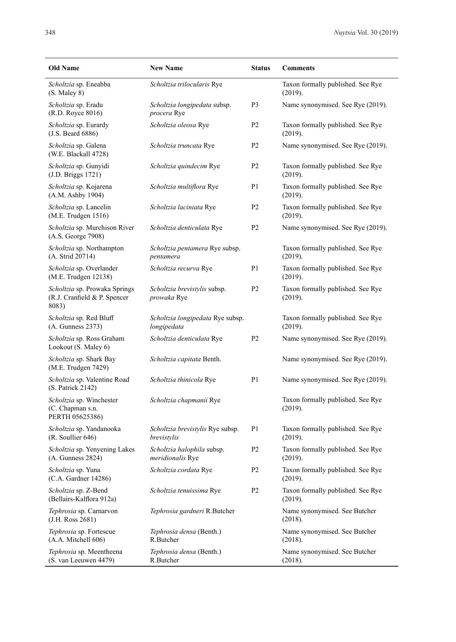| <b>Old Name</b>                                                        | <b>New Name</b>                                 | <b>Status</b>  | <b>Comments</b>                              |
|------------------------------------------------------------------------|-------------------------------------------------|----------------|----------------------------------------------|
| Scholtzia sp. Eneabba<br>(S. Maley 8)                                  | Scholtzia trilocularis Rye                      |                | Taxon formally published. See Rye<br>(2019). |
| Scholtzia sp. Eradu<br>(R.D. Royce 8016)                               | Scholtzia longipedata subsp.<br>procera Rye     | P3             | Name synonymised. See Rye (2019).            |
| Scholtzia sp. Eurardy<br>$(J.S.$ Beard $6886)$                         | Scholtzia oleosa Rye                            | P <sub>2</sub> | Taxon formally published. See Rye<br>(2019). |
| Scholtzia sp. Galena<br>(W.E. Blackall 4728)                           | Scholtzia truncata Rye                          | P <sub>2</sub> | Name synonymised. See Rye (2019).            |
| Scholtzia sp. Gunyidi<br>(J.D. Briggs 1721)                            | Scholtzia quindecim Rye                         | P <sub>2</sub> | Taxon formally published. See Rye<br>(2019). |
| Scholtzia sp. Kojarena<br>(A.M. Ashby 1904)                            | Scholtzia multiflora Rye                        | P <sub>1</sub> | Taxon formally published. See Rye<br>(2019). |
| Scholtzia sp. Lancelin<br>(M.E. Trudgen 1516)                          | Scholtzia laciniata Rye                         | P <sub>2</sub> | Taxon formally published. See Rye<br>(2019). |
| Scholtzia sp. Murchison River<br>(A.S. George 7908)                    | Scholtzia denticulata Rye                       | P <sub>2</sub> | Name synonymised. See Rye (2019).            |
| Scholtzia sp. Northampton<br>(A. Strid 20714)                          | Scholtzia pentamera Rye subsp.<br>pentamera     |                | Taxon formally published. See Rye<br>(2019). |
| Scholtzia sp. Overlander<br>(M.E. Trudgen 12138)                       | Scholtzia recurva Rye                           | P <sub>1</sub> | Taxon formally published. See Rye<br>(2019). |
| Scholtzia sp. Prowaka Springs<br>(R.J. Cranfield & P. Spencer<br>8083) | Scholtzia brevistylis subsp.<br>prowaka Rye     | P <sub>2</sub> | Taxon formally published. See Rye<br>(2019). |
| Scholtzia sp. Red Bluff<br>(A. Gunness 2373)                           | Scholtzia longipedata Rye subsp.<br>longipedata |                | Taxon formally published. See Rye<br>(2019). |
| Scholtzia sp. Ross Graham<br>Lookout (S. Maley 6)                      | Scholtzia denticulata Rye                       | P <sub>2</sub> | Name synonymised. See Rye (2019).            |
| Scholtzia sp. Shark Bay<br>(M.E. Trudgen 7429)                         | Scholtzia capitata Benth.                       |                | Name synonymised. See Rye (2019).            |
| Scholtzia sp. Valentine Road<br>(S. Patrick 2142)                      | Scholtzia thinicola Rye                         | P <sub>1</sub> | Name synonymised. See Rye (2019).            |
| Scholtzia sp. Winchester<br>(C. Chapman s.n.<br>PERTH 05625386)        | Scholtzia chapmanii Rye                         |                | Taxon formally published. See Rye<br>(2019). |
| Scholtzia sp. Yandanooka<br>(R. Soullier 646)                          | Scholtzia brevistylis Rye subsp.<br>brevistylis | P1             | Taxon formally published. See Rye<br>(2019). |
| Scholtzia sp. Yenyening Lakes<br>(A. Gunness 2824)                     | Scholtzia halophila subsp.<br>meridionalis Rye  | P <sub>2</sub> | Taxon formally published. See Rye<br>(2019). |
| Scholtzia sp. Yuna<br>(C.A. Gardner 14286)                             | Scholtzia cordata Rye                           | P <sub>2</sub> | Taxon formally published. See Rye<br>(2019). |
| Scholtzia sp. Z-Bend<br>(Bellairs-Kalflora 912a)                       | Scholtzia tenuissima Rye                        | P <sub>2</sub> | Taxon formally published. See Rye<br>(2019). |
| Tephrosia sp. Carnarvon<br>(J.H. Ross 2681)                            | Tephrosia gardneri R.Butcher                    |                | Name synonymised. See Butcher<br>(2018).     |
| Tephrosia sp. Fortescue<br>(A.A. Mitchell 606)                         | Tephrosia densa (Benth.)<br>R.Butcher           |                | Name synonymised. See Butcher<br>(2018).     |
| Tephrosia sp. Meentheena<br>(S. van Leeuwen 4479)                      | Tephrosia densa (Benth.)<br>R.Butcher           |                | Name synonymised. See Butcher<br>(2018).     |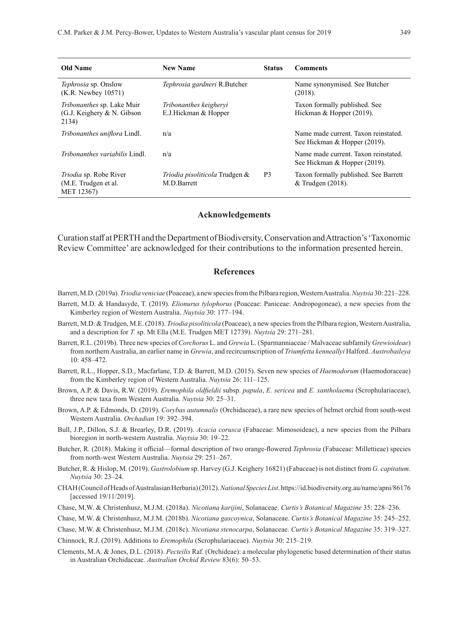| Old Name                                                           | <b>New Name</b>                                | <b>Status</b>  | <b>Comments</b>                                                      |
|--------------------------------------------------------------------|------------------------------------------------|----------------|----------------------------------------------------------------------|
| Tephrosia sp. Onslow<br>$(K.R.$ Newbey $10571)$                    | Tephrosia gardneri R.Butcher                   |                | Name synonymised. See Butcher<br>(2018).                             |
| Tribonanthes sp. Lake Muir<br>(G.J. Keighery $&N.$ Gibson<br>2134) | Tribonanthes keigheryi<br>E.J.Hickman & Hopper |                | Taxon formally published. See<br>Hickman & Hopper (2019).            |
| Tribonanthes uniflora Lindl.                                       | n/a                                            |                | Name made current. Taxon reinstated.<br>See Hickman & Hopper (2019). |
| <i>Tribonanthes variabilis</i> Lindl.                              | n/a                                            |                | Name made current. Taxon reinstated.<br>See Hickman & Hopper (2019). |
| Triodia sp. Robe River<br>(M.E. Trudgen et al.<br>MET 12367)       | Triodia pisoliticola Trudgen &<br>M.D.Barrett  | P <sub>3</sub> | Taxon formally published. See Barrett<br>& Trudgen (2018).           |

#### **Acknowledgements**

Curation staff at PERTH and the Department of Biodiversity, Conservation and Attraction's 'Taxonomic Review Committee' are acknowledged for their contributions to the information presented herein.

## **References**

- Barrett, M.D. (2019a). *Triodia veniciae* (Poaceae), a new species from the Pilbara region, Western Australia. *Nuytsia* 30: 221–228.
- Barrett, M.D. & Handasyde, T. (2019). *Elionurus tylophorus* (Poaceae: Paniceae: Andropogoneae), a new species from the Kimberley region of Western Australia. *Nuytsia* 30: 177–194.
- Barrett, M.D. & Trudgen, M.E. (2018). *Triodia pisoliticola* (Poaceae), a new species from the Pilbara region, Western Australia, and a description for *T.* sp. Mt Ella (M.E. Trudgen MET 12739). *Nuytsia* 29: 271–281.
- Barrett, R.L. (2019b). Three new species of *Corchorus* L. and *Grewia* L. (Sparmanniaceae / Malvaceae subfamily *Grewioideae*) from northern Australia, an earlier name in *Grewia*, and recircumscription of *Triumfetta kenneallyi* Halford. *Austrobaileya* 10: 458–472.
- Barrett, R.L., Hopper, S.D., Macfarlane, T.D. & Barrett, M.D. (2015). Seven new species of *Haemodorum* (Haemodoraceae) from the Kimberley region of Western Australia. *Nuytsia* 26: 111–125.
- Brown, A.P. & Davis, R.W. (2019). *Eremophila oldfieldii* subsp. *papula*, *E. sericea* and *E. xantholaema* (Scrophulariaceae), three new taxa from Western Australia. *Nuytsia* 30: 25–31.
- Brown, A.P. & Edmonds, D. (2019). *Corybas autumnalis* (Orchidaceae), a rare new species of helmet orchid from south-west Western Australia. *Orchadian* 19: 392–394.
- Bull, J.P., Dillon, S.J. & Brearley, D.R. (2019). *Acacia corusca* (Fabaceae: Mimosoideae), a new species from the Pilbara bioregion in north-western Australia. *Nuytsia* 30: 19–22.
- Butcher, R. (2018). Making it official—formal description of two orange-flowered *Tephrosia* (Fabaceae: Millettieae) species from north-west Western Australia. *Nuytsia* 29: 251–267.
- Butcher, R. & Hislop, M. (2019). *Gastrolobium* sp. Harvey (G.J. Keighery 16821) (Fabaceae) is not distinct from *G. capitatum*. *Nuytsia* 30: 23–24.
- CHAH (Council of Heads of Australasian Herbaria) (2012). *National Species List*. https://id.biodiversity.org.au/name/apni/86176 [accessed 19/11/2019].
- Chase, M.W. & Christenhusz, M.J.M. (2018a). *Nicotiana karijini*, Solanaceae. *Curtis's Botanical Magazine* 35: 228–236.
- Chase, M.W. & Christenhusz, M.J.M. (2018b). *Nicotiana gascoynica*, Solanaceae. *Curtis's Botanical Magazine* 35: 245–252.
- Chase, M.W. & Christenhusz, M.J.M. (2018c). *Nicotiana stenocarpa*, Solanaceae. *Curtis's Botanical Magazine* 35: 319–327.

Chinnock, R.J. (2019). Additions to *Eremophila* (Scrophulariaceae). *Nuytsia* 30: 215–219.

Clements, M.A. & Jones, D.L. (2018). *Pecteilis* Raf. (Orchideae): a molecular phylogenetic based determination of their status in Australian Orchidaceae. *Australian Orchid Review* 83(6): 50–53.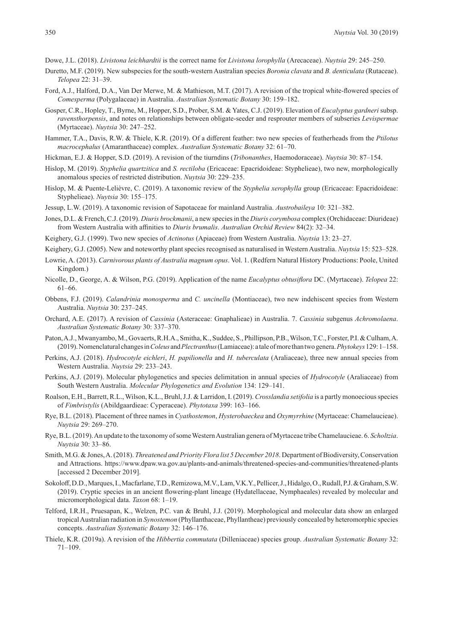Dowe, J.L. (2018). *Livistona leichhardtii* is the correct name for *Livistona lorophylla* (Arecaceae). *Nuytsia* 29: 245–250.

- Duretto, M.F. (2019). New subspecies for the south-western Australian species *Boronia clavata* and *B. denticulata* (Rutaceae). *Telopea* 22: 31–39.
- Ford, A.J., Halford, D.A., Van Der Merwe, M. & Mathieson, M.T. (2017). A revision of the tropical white-flowered species of *Comesperma* (Polygalaceae) in Australia. *Australian Systematic Botany* 30: 159–182.
- Gosper, C.R., Hopley, T., Byrne, M., Hopper, S.D., Prober, S.M. & Yates, C.J. (2019). Elevation of *Eucalyptus gardneri* subsp. *ravensthorpensis*, and notes on relationships between obligate-seeder and resprouter members of subseries *Levispermae* (Myrtaceae). *Nuytsia* 30: 247–252.
- Hammer, T.A., Davis, R.W. & Thiele, K.R. (2019). Of a different feather: two new species of featherheads from the *Ptilotus macrocephalus* (Amaranthaceae) complex. *Australian Systematic Botany* 32: 61–70.
- Hickman, E.J. & Hopper, S.D. (2019). A revision of the tiurndins (*Tribonanthes*, Haemodoraceae). *Nuytsia* 30: 87–154.
- Hislop, M. (2019). *Styphelia quartzitica* and *S. rectiloba* (Ericaceae: Epacridoideae: Styphelieae), two new, morphologically anomalous species of restricted distribution. *Nuytsia* 30: 229–235.
- Hislop, M. & Puente-Lelièvre, C. (2019). A taxonomic review of the *Styphelia xerophylla* group (Ericaceae: Epacridoideae: Styphelieae). *Nuytsia* 30: 155–175.
- Jessup, L.W. (2019). A taxonomic revision of Sapotaceae for mainland Australia. *Austrobaileya* 10: 321–382.
- Jones, D.L. & French, C.J. (2019). *Diuris brockmanii*, a new species in the *Diuris corymbosa* complex (Orchidaceae: Diurideae) from Western Australia with affinities to *Diuris brumalis*. *Australian Orchid Review* 84(2): 32–34.
- Keighery, G.J. (1999). Two new species of *Actinotus* (Apiaceae) from Western Australia. *Nuytsia* 13: 23–27.
- Keighery, G.J. (2005). New and noteworthy plant species recognised as naturalised in Western Australia. *Nuytsia* 15: 523–528.
- Lowrie, A. (2013). *Carnivorous plants of Australia magnum opus*. Vol. 1. (Redfern Natural History Productions: Poole, United Kingdom.)
- Nicolle, D., George, A. & Wilson, P.G. (2019). Application of the name *Eucalyptus obtusiflora* DC. (Myrtaceae). *Telopea* 22: 61–66.
- Obbens, F.J. (2019). *Calandrinia monosperma* and *C. uncinella* (Montiaceae), two new indehiscent species from Western Australia. *Nuytsia* 30: 237–245.
- Orchard, A.E. (2017). A revision of *Cassinia* (Asteraceae: Gnaphalieae) in Australia. 7. *Cassinia* subgenus *Achromolaena*. *Australian Systematic Botany* 30: 337–370.
- Paton, A.J., Mwanyambo, M., Govaerts, R.H.A., Smitha, K., Suddee, S., Phillipson, P.B., Wilson, T.C., Forster, P.I. & Culham,A. (2019). Nomenclatural changes in *Coleus* and *Plectranthus* (Lamiaceae): a tale of more than two genera. *Phytokeys* 129: 1–158.
- Perkins, A.J. (2018). *Hydrocotyle eichleri*, *H. papilionella* and *H. tuberculata* (Araliaceae), three new annual species from Western Australia. *Nuytsia* 29: 233–243.
- Perkins, A.J. (2019). Molecular phylogenetics and species delimitation in annual species of *Hydrocotyle* (Araliaceae) from South Western Australia. *Molecular Phylogenetics and Evolution* 134: 129–141.
- Roalson, E.H., Barrett, R.L., Wilson, K.L., Bruhl, J.J. & Larridon, I. (2019). *Crosslandia setifolia* is a partly monoecious species of *Fimbristylis* (Abildgaardieae: Cyperaceae). *Phytotaxa* 399: 163–166.
- Rye, B.L. (2018). Placement of three names in *Cyathostemon*, *Hysterobaeckea* and *Oxymyrrhine* (Myrtaceae: Chamelaucieae). *Nuytsia* 29: 269–270.
- Rye, B.L. (2019). An update to the taxonomy of some Western Australian genera of Myrtaceae tribe Chamelaucieae. 6. *Scholtzia*. *Nuytsia* 30: 33–86.
- Smith, M.G. & Jones, A. (2018). *Threatened and Priority Flora list 5 December 2018*. Department of Biodiversity, Conservation and Attractions. https://www.dpaw.wa.gov.au/plants-and-animals/threatened-species-and-communities/threatened-plants [accessed 2 December 2019].
- Sokoloff, D.D., Marques, I., Macfarlane, T.D., Remizowa, M.V., Lam, V.K.Y., Pellicer, J., Hidalgo, O., Rudall, P.J. & Graham,S.W. (2019). Cryptic species in an ancient flowering‐plant lineage (Hydatellaceae, Nymphaeales) revealed by molecular and micromorphological data. *Taxon* 68: 1–19.
- Telford, I.R.H., Pruesapan, K., Welzen, P.C. van & Bruhl, J.J. (2019). Morphological and molecular data show an enlarged tropical Australian radiation in *Synostemon* (Phyllanthaceae, Phyllantheae) previously concealed by heteromorphic species concepts. *Australian Systematic Botany* 32: 146–176.
- Thiele, K.R. (2019a). A revision of the *Hibbertia commutata* (Dilleniaceae) species group. *Australian Systematic Botany* 32: 71–109.